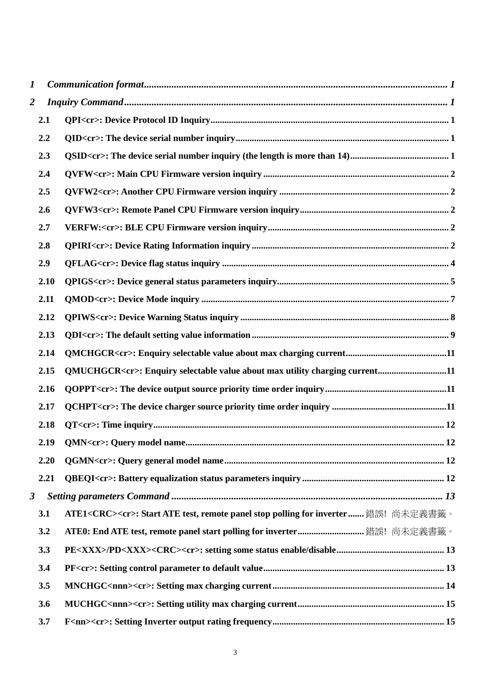| 1                       |      |                                                                                               |  |
|-------------------------|------|-----------------------------------------------------------------------------------------------|--|
| $\overline{\mathbf{2}}$ |      |                                                                                               |  |
|                         | 2.1  |                                                                                               |  |
|                         | 2.2  |                                                                                               |  |
|                         | 2.3  |                                                                                               |  |
|                         | 2.4  |                                                                                               |  |
|                         | 2.5  |                                                                                               |  |
|                         | 2.6  |                                                                                               |  |
|                         | 2.7  |                                                                                               |  |
|                         | 2.8  |                                                                                               |  |
|                         | 2.9  |                                                                                               |  |
|                         | 2.10 |                                                                                               |  |
|                         | 2.11 |                                                                                               |  |
|                         | 2.12 |                                                                                               |  |
|                         | 2.13 |                                                                                               |  |
|                         | 2.14 |                                                                                               |  |
|                         | 2.15 | QMUCHGCR <cr>: Enquiry selectable value about max utility charging current11</cr>             |  |
|                         | 2.16 |                                                                                               |  |
|                         | 2.17 |                                                                                               |  |
|                         | 2.18 |                                                                                               |  |
|                         | 2.19 |                                                                                               |  |
|                         | 2.20 |                                                                                               |  |
|                         | 2.21 |                                                                                               |  |
| 3                       |      |                                                                                               |  |
|                         | 3.1  | ATE1 <crc><cr>: Start ATE test, remote panel stop polling for inverter 錯誤! 尚未定義書籤。</cr></crc> |  |
|                         | 3.2  | ATE0: End ATE test, remote panel start polling for inverter 錯誤! 尚未定義書籤。                       |  |
|                         | 3.3  |                                                                                               |  |
|                         | 3.4  |                                                                                               |  |
|                         | 3.5  |                                                                                               |  |
|                         | 3.6  |                                                                                               |  |
|                         | 3.7  |                                                                                               |  |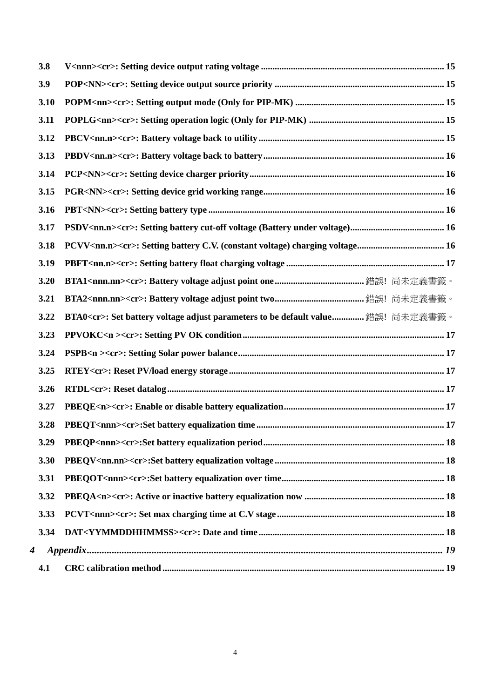| 3.8  |                                                                                       |
|------|---------------------------------------------------------------------------------------|
| 3.9  |                                                                                       |
| 3.10 |                                                                                       |
| 3.11 |                                                                                       |
| 3.12 |                                                                                       |
| 3.13 |                                                                                       |
| 3.14 |                                                                                       |
| 3.15 |                                                                                       |
| 3.16 |                                                                                       |
| 3.17 |                                                                                       |
| 3.18 |                                                                                       |
| 3.19 |                                                                                       |
| 3.20 |                                                                                       |
| 3.21 |                                                                                       |
| 3.22 | BTA0 <cr>: Set battery voltage adjust parameters to be default value 錯誤! 尚未定義書籤。</cr> |
| 3.23 |                                                                                       |
| 3.24 |                                                                                       |
| 3.25 |                                                                                       |
| 3.26 |                                                                                       |
| 3.27 |                                                                                       |
| 3.28 |                                                                                       |
| 3.29 |                                                                                       |
| 3.30 |                                                                                       |
| 3.31 |                                                                                       |
| 3.32 |                                                                                       |
| 3.33 |                                                                                       |
| 3.34 |                                                                                       |
| 4    |                                                                                       |
| 4.1  |                                                                                       |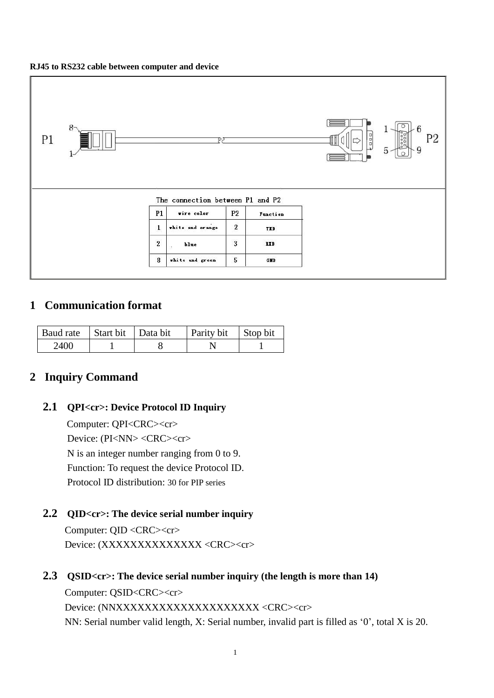#### **RJ45 to RS232 cable between computer and device**



# <span id="page-2-0"></span>**1 Communication format**

| Baud rate   Start bit   Data bit |  | Parity bit | Stop bit |
|----------------------------------|--|------------|----------|
| 2400                             |  |            |          |

# <span id="page-2-2"></span><span id="page-2-1"></span>**2 Inquiry Command**

### **2.1 QPI<cr>: Device Protocol ID Inquiry**

Computer: QPI<CRC><cr> Device: (PI<NN> <CRC><cr> N is an integer number ranging from 0 to 9. Function: To request the device Protocol ID. Protocol ID distribution: 30 for PIP series

## <span id="page-2-3"></span>**2.2 QID<cr>: The device serial number inquiry**

Computer: QID <CRC><cr> Device: (XXXXXXXXXXXXXX <CRC><cr>

<span id="page-2-4"></span>**2.3 QSID<cr>: The device serial number inquiry (the length is more than 14)**

Computer: QSID<CRC><cr> Device: (NNXXXXXXXXXXXXXXXXXXXX <CRC><cr> NN: Serial number valid length, X: Serial number, invalid part is filled as '0', total X is 20.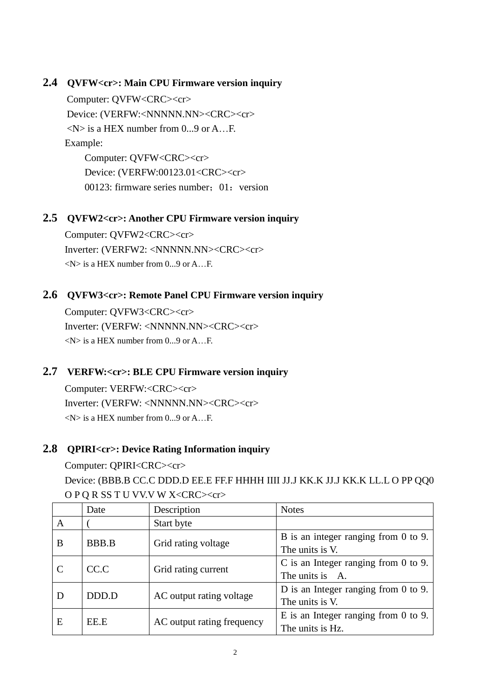## <span id="page-3-0"></span>**2.4 QVFW<cr>: Main CPU Firmware version inquiry**

Computer: OVFW<CRC><cr> Device: (VERFW:<NNNNNN.NN><CRC><cr>  $\langle N \rangle$  is a HEX number from 0...9 or A E. Example: Computer: QVFW<CRC><cr> Device: (VERFW:00123.01<CRC><cr> 00123: firmware series number:  $01:$  version

## <span id="page-3-1"></span>**2.5 QVFW2<cr>: Another CPU Firmware version inquiry**

Computer: OVFW2<CRC><cr> Inverter: (VERFW2: <NNNNN.NN><CRC><cr>  $\langle N \rangle$  is a HEX number from 0...9 or A...F.

### <span id="page-3-2"></span>**2.6 QVFW3<cr>: Remote Panel CPU Firmware version inquiry**

Computer: QVFW3<CRC><cr> Inverter: (VERFW: <NNNNN.NN><CRC><cr>  $\langle N \rangle$  is a HEX number from 0...9 or A...F.

# <span id="page-3-3"></span>**2.7 VERFW:<cr>: BLE CPU Firmware version inquiry**

Computer: VERFW:<CRC><cr> Inverter: (VERFW: <NNNNN.NN><CRC><cr>  $\langle N \rangle$  is a HEX number from 0...9 or A.

### <span id="page-3-4"></span>**2.8 QPIRI<cr>: Device Rating Information inquiry**

### Computer: QPIRI<CRC><cr>

Device: (BBB.B CC.C DDD.D EE.E FF.F HHHH IIII JJ.J KK.K JJ.J KK.K LL.L O PP QQ0 O P Q R SS T U VV.V W X<CRC><cr>

|               | Date         | Description                | <b>Notes</b>                              |
|---------------|--------------|----------------------------|-------------------------------------------|
| A             |              | Start byte                 |                                           |
| B             | <b>BBB.B</b> |                            | B is an integer ranging from 0 to 9.      |
|               |              | Grid rating voltage        | The units is V.                           |
| $\mathcal{C}$ | CC.C         |                            | C is an Integer ranging from $0$ to $9$ . |
|               |              | Grid rating current        | The units is A.                           |
| D             | DDD.D        | AC output rating voltage   | D is an Integer ranging from $0$ to $9$ . |
|               |              |                            | The units is V.                           |
| E             | EE.E         |                            | E is an Integer ranging from $0$ to $9$ . |
|               |              | AC output rating frequency | The units is Hz.                          |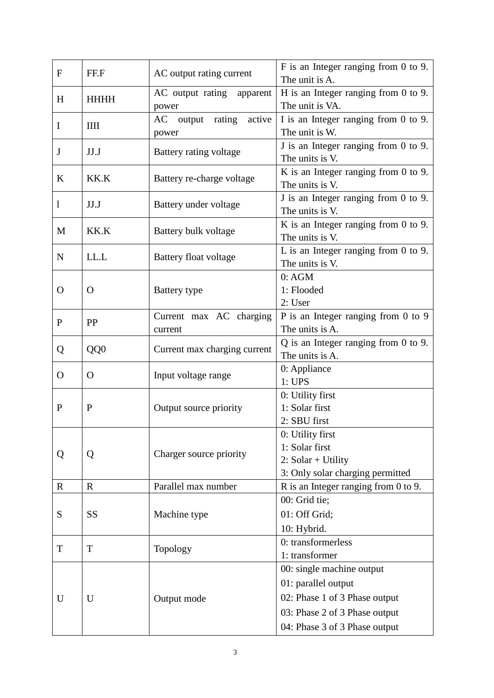| $\mathbf F$  | FF.F                                     | AC output rating current      | F is an Integer ranging from 0 to 9.<br>The unit is A.       |
|--------------|------------------------------------------|-------------------------------|--------------------------------------------------------------|
|              | AC output rating apparent<br><b>HHHH</b> |                               | H is an Integer ranging from 0 to 9.                         |
| H            |                                          | power                         | The unit is VA.                                              |
| I            | IIII                                     | output rating<br>active<br>AC | I is an Integer ranging from 0 to 9.                         |
|              |                                          | power                         | The unit is W.                                               |
| $\mathbf J$  | JJ.J                                     | Battery rating voltage        | J is an Integer ranging from 0 to 9.                         |
|              |                                          |                               | The units is V.                                              |
| K            | KK.K                                     | Battery re-charge voltage     | K is an Integer ranging from 0 to 9.                         |
|              |                                          |                               | The units is V.                                              |
| 1            | JJ.J                                     | Battery under voltage         | J is an Integer ranging from 0 to 9.                         |
|              |                                          |                               | The units is V.                                              |
| M            | KK.K                                     | Battery bulk voltage          | K is an Integer ranging from $0$ to $9$ .                    |
|              |                                          |                               | The units is V.                                              |
| $\mathbf N$  | LL.L                                     | Battery float voltage         | L is an Integer ranging from $0$ to $9$ .<br>The units is V. |
|              |                                          |                               | 0:AGM                                                        |
| O            | $\Omega$                                 | Battery type                  | 1: Flooded                                                   |
|              |                                          |                               | 2: User                                                      |
|              |                                          | Current max AC charging       | P is an Integer ranging from 0 to 9                          |
| $\mathbf{P}$ | PP                                       | current                       | The units is A.                                              |
|              |                                          |                               | $Q$ is an Integer ranging from 0 to 9.                       |
| Q            | QQ0                                      | Current max charging current  | The units is A.                                              |
|              | Input voltage range<br>$\Omega$<br>O     |                               | 0: Appliance                                                 |
|              |                                          |                               | 1: UPS                                                       |
|              |                                          |                               | 0: Utility first                                             |
| $\mathbf{P}$ | P                                        | Output source priority        | 1: Solar first                                               |
|              |                                          |                               | 2: SBU first                                                 |
|              |                                          |                               | 0: Utility first                                             |
| Q            | Q                                        | Charger source priority       | 1: Solar first                                               |
|              |                                          |                               | 2: $Solar + Utility$                                         |
|              |                                          |                               | 3: Only solar charging permitted                             |
| $\mathbf R$  | $\mathbf R$                              | Parallel max number           | R is an Integer ranging from 0 to 9.                         |
|              |                                          |                               | 00: Grid tie;                                                |
| S            | <b>SS</b>                                | Machine type                  | 01: Off Grid;                                                |
|              |                                          |                               | 10: Hybrid.                                                  |
| T            | T                                        | Topology                      | 0: transformerless                                           |
|              |                                          |                               | 1: transformer                                               |
|              |                                          |                               | 00: single machine output                                    |
|              | U                                        |                               | 01: parallel output                                          |
| U            |                                          | Output mode                   | 02: Phase 1 of 3 Phase output                                |
|              |                                          |                               | 03: Phase 2 of 3 Phase output                                |
|              |                                          |                               | 04: Phase 3 of 3 Phase output                                |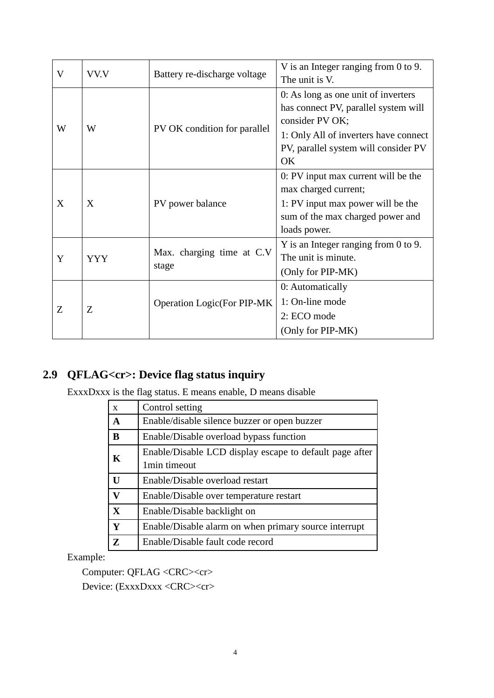| V | VV.V                              | Battery re-discharge voltage        | V is an Integer ranging from 0 to 9.<br>The unit is V.                                                                                                                                |
|---|-----------------------------------|-------------------------------------|---------------------------------------------------------------------------------------------------------------------------------------------------------------------------------------|
| W | PV OK condition for parallel<br>W |                                     | 0: As long as one unit of inverters<br>has connect PV, parallel system will<br>consider PV OK;<br>1: Only All of inverters have connect<br>PV, parallel system will consider PV<br>OK |
| X | X                                 | PV power balance                    | 0: PV input max current will be the<br>max charged current;<br>1: PV input max power will be the<br>sum of the max charged power and<br>loads power.                                  |
| Y | <b>YYY</b>                        | Max. charging time at C.V<br>stage  | Y is an Integer ranging from 0 to 9.<br>The unit is minute.<br>(Only for PIP-MK)                                                                                                      |
| Z | Z                                 | <b>Operation Logic (For PIP-MK)</b> | 0: Automatically<br>1: On-line mode<br>2: ECO mode<br>(Only for PIP-MK)                                                                                                               |

# <span id="page-5-0"></span>**2.9 QFLAG<cr>: Device flag status inquiry**

ExxxDxxx is the flag status. E means enable, D means disable

| $\mathbf{x}$                                    | Control setting                                                         |
|-------------------------------------------------|-------------------------------------------------------------------------|
| $\mathbf A$                                     | Enable/disable silence buzzer or open buzzer                            |
| B                                               | Enable/Disable overload bypass function                                 |
| K                                               | Enable/Disable LCD display escape to default page after<br>1min timeout |
| $\mathbf{U}$<br>Enable/Disable overload restart |                                                                         |
| $\overline{\mathbf{V}}$                         | Enable/Disable over temperature restart                                 |
| X                                               | Enable/Disable backlight on                                             |
| Y                                               | Enable/Disable alarm on when primary source interrupt                   |
| Z<br>Enable/Disable fault code record           |                                                                         |

Example:

Computer: QFLAG <CRC><cr>

Device: (ExxxDxxx <CRC><cr>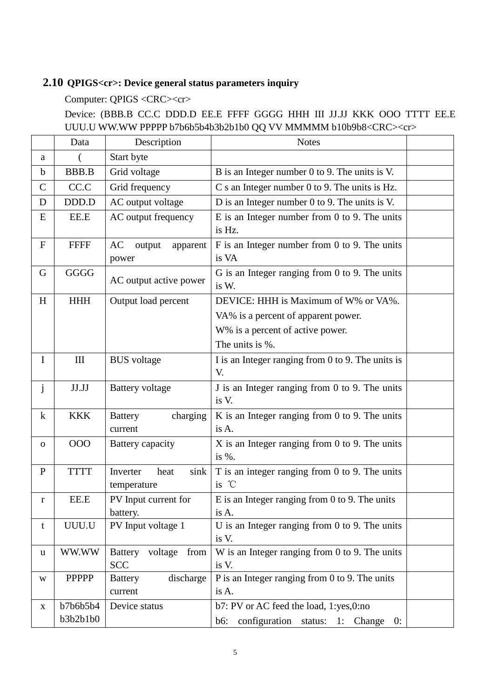# <span id="page-6-0"></span>**2.10 QPIGS<cr>: Device general status parameters inquiry**

Computer: QPIGS <CRC><cr>

Device: (BBB.B CC.C DDD.D EE.E FFFF GGGG HHH III JJ.JJ KKK OOO TTTT EE.E UUU.U WW.WW PPPPP b7b6b5b4b3b2b1b0 QQ VV MMMMM b10b9b8<CRC><cr>

|              | Data                 | Description                                     | <b>Notes</b>                                                                        |
|--------------|----------------------|-------------------------------------------------|-------------------------------------------------------------------------------------|
| a            |                      | Start byte                                      |                                                                                     |
| $\mathbf b$  | <b>BBB.B</b>         | Grid voltage                                    | B is an Integer number 0 to 9. The units is V.                                      |
| $\mathbf C$  | CC.C                 | Grid frequency                                  | C s an Integer number 0 to 9. The units is Hz.                                      |
| D            | DDD.D                | AC output voltage                               | D is an Integer number 0 to 9. The units is V.                                      |
| E            | EE.E                 | AC output frequency                             | $E$ is an Integer number from 0 to 9. The units<br>is Hz.                           |
| $\mathbf F$  | <b>FFFF</b>          | AC<br>output<br>apparent<br>power               | $F$ is an Integer number from 0 to 9. The units<br>is VA                            |
| G            | <b>GGGG</b>          | AC output active power                          | G is an Integer ranging from 0 to 9. The units<br>is W.                             |
| H            | <b>HHH</b>           | Output load percent                             | DEVICE: HHH is Maximum of W% or VA%.                                                |
|              |                      |                                                 | VA% is a percent of apparent power.                                                 |
|              |                      |                                                 | W% is a percent of active power.                                                    |
|              |                      |                                                 | The units is %.                                                                     |
| $\bf{I}$     | III                  | <b>BUS</b> voltage                              | I is an Integer ranging from 0 to 9. The units is<br>V.                             |
| $\mathbf{j}$ | $\rm J J.JJ$         | <b>Battery</b> voltage                          | J is an Integer ranging from 0 to 9. The units<br>is V.                             |
| $\bf k$      | <b>KKK</b>           | charging<br><b>Battery</b><br>current           | K is an Integer ranging from 0 to 9. The units<br>is A.                             |
| $\mathbf{O}$ | 000                  | Battery capacity                                | $X$ is an Integer ranging from 0 to 9. The units<br>is %.                           |
| $\mathbf{P}$ | <b>TTTT</b>          | Inverter<br>sink<br>heat<br>temperature         | T is an integer ranging from 0 to 9. The units<br>is °C                             |
| $\mathbf{r}$ | EE.E                 | PV Input current for<br>battery.                | $E$ is an Integer ranging from 0 to 9. The units<br>is A.                           |
| t            | UUU.U                | PV Input voltage 1                              | U is an Integer ranging from $0$ to $9$ . The units<br>is V.                        |
| u            | WW.WW                | voltage<br><b>Battery</b><br>from<br><b>SCC</b> | W is an Integer ranging from $0$ to $9$ . The units<br>is V.                        |
| W            | PPPPP                | discharge<br><b>Battery</b><br>current          | P is an Integer ranging from 0 to 9. The units<br>is A.                             |
| X            | b7b6b5b4<br>b3b2b1b0 | Device status                                   | b7: PV or AC feed the load, 1:yes,0:no<br>configuration status: 1: Change 0:<br>b6: |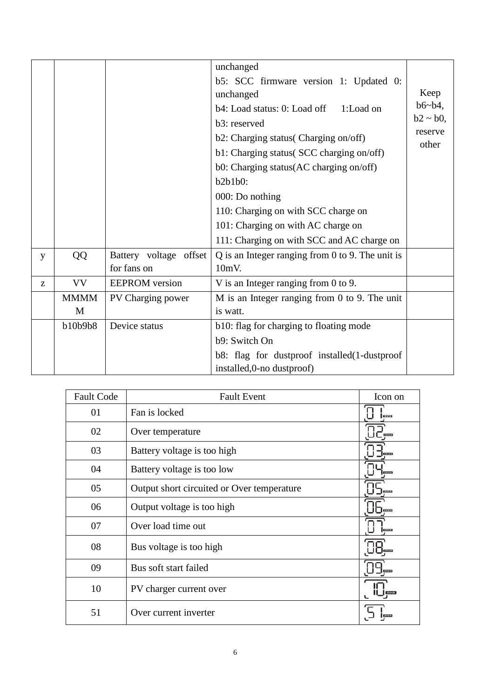|   |             |                        | unchanged                                          |                  |  |
|---|-------------|------------------------|----------------------------------------------------|------------------|--|
|   |             |                        | b5: SCC firmware version 1: Updated 0:             |                  |  |
|   |             |                        | unchanged                                          | Keep             |  |
|   |             |                        | b4: Load status: 0: Load off<br>1:Load on          | $b6 - b4$ ,      |  |
|   |             |                        | b3: reserved                                       | $b2 \sim b0$ ,   |  |
|   |             |                        | b2: Charging status(Charging on/off)               | reserve<br>other |  |
|   |             |                        | b1: Charging status(SCC charging on/off)           |                  |  |
|   |             |                        | b0: Charging status(AC charging on/off)            |                  |  |
|   |             |                        | $b2b1b0$ :                                         |                  |  |
|   |             |                        | 000: Do nothing                                    |                  |  |
|   |             |                        | 110: Charging on with SCC charge on                |                  |  |
|   |             |                        | 101: Charging on with AC charge on                 |                  |  |
|   |             |                        | 111: Charging on with SCC and AC charge on         |                  |  |
| y | QQ          | Battery voltage offset | $Q$ is an Integer ranging from 0 to 9. The unit is |                  |  |
|   |             | for fans on            | $10mV$ .                                           |                  |  |
| Z | <b>VV</b>   | <b>EEPROM</b> version  | V is an Integer ranging from 0 to 9.               |                  |  |
|   | <b>MMMM</b> | PV Charging power      | M is an Integer ranging from $0$ to $9$ . The unit |                  |  |
|   | M           |                        | is watt.                                           |                  |  |
|   | b10b9b8     | Device status          | b10: flag for charging to floating mode            |                  |  |
|   |             |                        | b9: Switch On                                      |                  |  |
|   |             |                        | b8: flag for dustproof installed (1-dustproof      |                  |  |
|   |             |                        | installed, 0-no dustproof)                         |                  |  |

| <b>Fault Code</b> | <b>Fault Event</b>                         | Icon on        |
|-------------------|--------------------------------------------|----------------|
| 01                | Fan is locked                              | <b>ELSEX</b>   |
| 02                | Over temperature                           | 0.0003         |
| 03                | Battery voltage is too high                | <b>EFRICA</b>  |
| 04                | Battery voltage is too low                 | <b>ENTRER</b>  |
| 05                | Output short circuited or Over temperature |                |
| 06                | Output voltage is too high                 | 663.053        |
| 07                | Over load time out                         | eroca          |
| 08                | Bus voltage is too high                    |                |
| 09                | Bus soft start failed                      | <b>EISENSE</b> |
| 10                | PV charger current over                    |                |
| 51                | Over current inverter                      |                |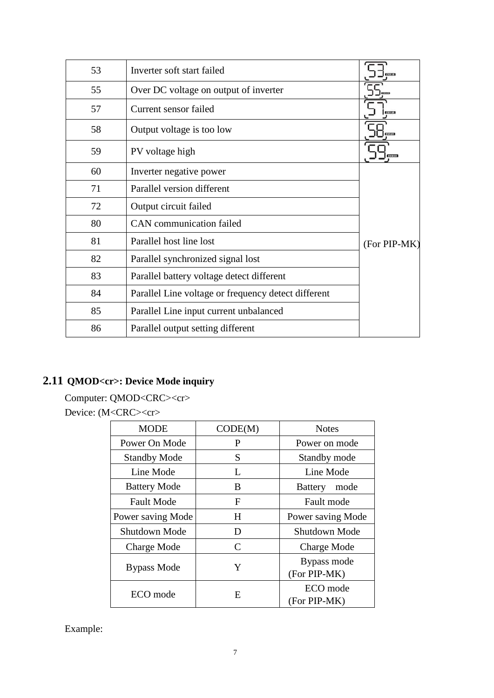| 53 | Inverter soft start failed                          |               |
|----|-----------------------------------------------------|---------------|
| 55 | Over DC voltage on output of inverter               |               |
| 57 | Current sensor failed                               | <b>ELECTR</b> |
| 58 | Output voltage is too low                           | REOR          |
| 59 | PV voltage high                                     |               |
| 60 | Inverter negative power                             |               |
| 71 | Parallel version different                          |               |
| 72 | Output circuit failed                               |               |
| 80 | <b>CAN</b> communication failed                     |               |
| 81 | Parallel host line lost                             | (For PIP-MK)  |
| 82 | Parallel synchronized signal lost                   |               |
| 83 | Parallel battery voltage detect different           |               |
| 84 | Parallel Line voltage or frequency detect different |               |
| 85 | Parallel Line input current unbalanced              |               |
| 86 | Parallel output setting different                   |               |

# <span id="page-8-0"></span>**2.11 QMOD<cr>: Device Mode inquiry**

Computer: QMOD<CRC><cr>

Device: (M<CRC><cr>

| <b>MODE</b>         | CODE(M) | <b>Notes</b>                |
|---------------------|---------|-----------------------------|
| Power On Mode       | P       | Power on mode               |
| <b>Standby Mode</b> | S       | Standby mode                |
| Line Mode           | L       | Line Mode                   |
| <b>Battery Mode</b> | B       | <b>Battery</b><br>mode      |
| <b>Fault Mode</b>   | F       | Fault mode                  |
| Power saving Mode   | H       | Power saving Mode           |
| Shutdown Mode       | D       | Shutdown Mode               |
| Charge Mode         | C       | Charge Mode                 |
| Bypass Mode         | Y       | Bypass mode<br>(For PIP-MK) |
| ECO mode            | E       | ECO mode<br>(For PIP-MK)    |

Example: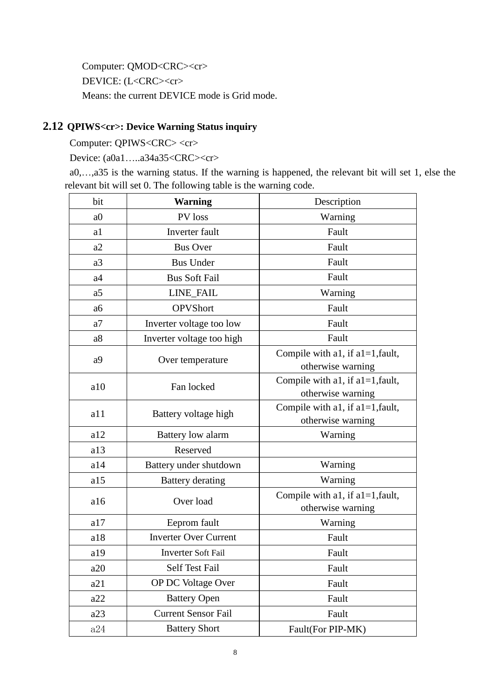Computer: QMOD<CRC><cr> DEVICE: (L<CRC><cr> Means: the current DEVICE mode is Grid mode.

# <span id="page-9-0"></span>**2.12 QPIWS<cr>: Device Warning Status inquiry**

Computer: QPIWS<CRC> <cr>

Device: (a0a1.....a34a35<CRC><cr>

a0,…,a35 is the warning status. If the warning is happened, the relevant bit will set 1, else the relevant bit will set 0. The following table is the warning code.

| bit            | <b>Warning</b>               | Description                                              |
|----------------|------------------------------|----------------------------------------------------------|
| a <sub>0</sub> | PV loss                      | Warning                                                  |
| a1             | Inverter fault               | Fault                                                    |
| a2             | <b>Bus Over</b>              | Fault                                                    |
| a3             | <b>Bus Under</b>             | Fault                                                    |
| a4             | <b>Bus Soft Fail</b>         | Fault                                                    |
| a <sub>5</sub> | <b>LINE FAIL</b>             | Warning                                                  |
| a <sub>6</sub> | <b>OPVShort</b>              | Fault                                                    |
| a <sub>7</sub> | Inverter voltage too low     | Fault                                                    |
| a8             | Inverter voltage too high    | Fault                                                    |
| a <sup>9</sup> | Over temperature             | Compile with a1, if $a1=1$ , fault,<br>otherwise warning |
| a10            | Fan locked                   | Compile with a1, if $a1=1$ , fault,<br>otherwise warning |
| a11            | Battery voltage high         | Compile with a1, if $a1=1$ , fault,<br>otherwise warning |
| a12            | Battery low alarm            | Warning                                                  |
| a13            | Reserved                     |                                                          |
| a14            | Battery under shutdown       | Warning                                                  |
| a15            | <b>Battery</b> derating      | Warning                                                  |
| a16            | Over load                    | Compile with a1, if $a1=1$ , fault,<br>otherwise warning |
| a17            | Eeprom fault                 | Warning                                                  |
| a18            | <b>Inverter Over Current</b> | Fault                                                    |
| a19            | <b>Inverter Soft Fail</b>    | Fault                                                    |
| a20            | Self Test Fail               | Fault                                                    |
| a21            | OP DC Voltage Over           | Fault                                                    |
| a22            | <b>Battery Open</b>          | Fault                                                    |
| a23            | <b>Current Sensor Fail</b>   | Fault                                                    |
| a24            | <b>Battery Short</b>         | Fault(For PIP-MK)                                        |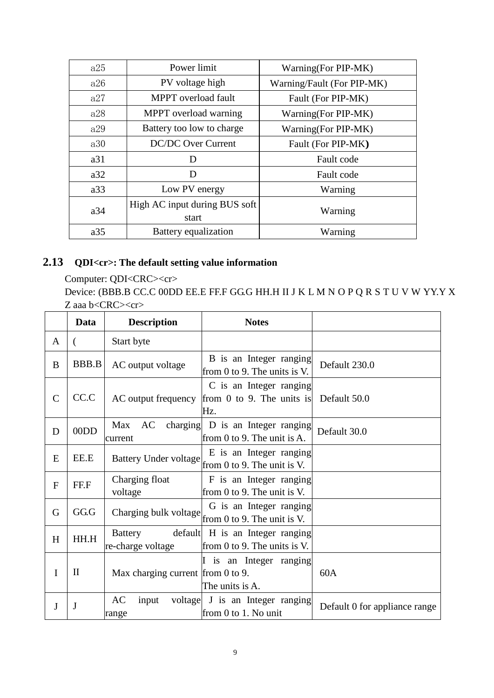| a25 | Power limit                   | Warning(For PIP-MK)        |
|-----|-------------------------------|----------------------------|
| a26 | PV voltage high               | Warning/Fault (For PIP-MK) |
| a27 | MPPT overload fault           | Fault (For PIP-MK)         |
| a28 | MPPT overload warning         | Warning(For PIP-MK)        |
| a29 | Battery too low to charge     | Warning(For PIP-MK)        |
| a30 | <b>DC/DC Over Current</b>     | Fault (For PIP-MK)         |
| a31 | D                             | Fault code                 |
| a32 | D                             | Fault code                 |
| a33 | Low PV energy                 | Warning                    |
| a34 | High AC input during BUS soft | Warning                    |
|     | start                         |                            |
| a35 | Battery equalization          | Warning                    |

# <span id="page-10-0"></span>**2.13 QDI<cr>: The default setting value information**

Computer: QDI<CRC><cr> Device: (BBB.B CC.C 00DD EE.E FF.F GG.G HH.H II J K L M N O P Q R S T U V W YY.Y X Z aaa b<CRC><cr>

|                | Data         | <b>Description</b>                  | <b>Notes</b>                                                         |                               |
|----------------|--------------|-------------------------------------|----------------------------------------------------------------------|-------------------------------|
| A              |              | Start byte                          |                                                                      |                               |
| B              | <b>BBB.B</b> | AC output voltage                   | B is an Integer ranging<br>from 0 to 9. The units is V.              | Default 230.0                 |
| $\mathsf{C}$   | CC.C         | AC output frequency                 | C is an Integer ranging<br>from 0 to 9. The units is<br>Hz.          | Default 50.0                  |
| D              | 00DD         | Max<br>AC<br>current                | charging D is an Integer ranging<br>from 0 to 9. The unit is $A$ .   | Default 30.0                  |
| E              | EE.E         | Battery Under voltage               | E is an Integer ranging<br>from 0 to 9. The unit is V.               |                               |
| $\overline{F}$ | FF.F         | Charging float<br>voltage           | F is an Integer ranging<br>from $0$ to $9$ . The unit is V.          |                               |
| G              | GG.G         | Charging bulk voltage               | G is an Integer ranging<br>from 0 to 9. The unit is V.               |                               |
| H              | HH.H         | <b>Battery</b><br>re-charge voltage | default H is an Integer ranging<br>from $0$ to $9$ . The units is V. |                               |
| I              | $\mathbf{I}$ | Max charging current from 0 to 9.   | I is an Integer ranging<br>The units is A.                           | 60A                           |
| J              | J            | AC<br>input<br>range                | voltage J is an Integer ranging<br>from 0 to 1. No unit              | Default 0 for appliance range |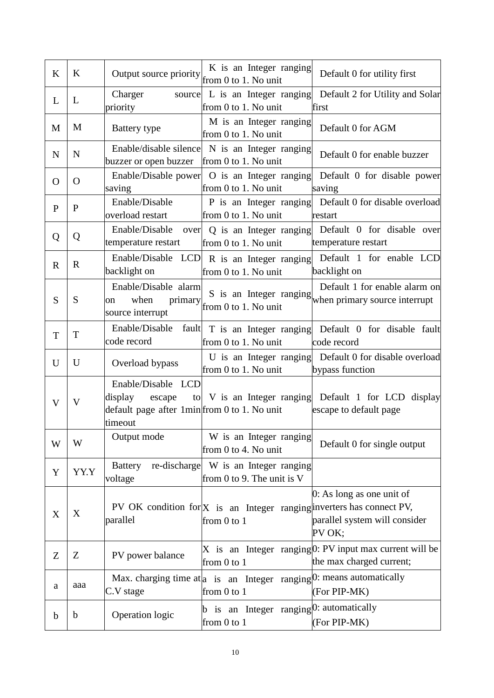| K            | K           | Output source priority                                                                             | K is an Integer ranging<br>from 0 to 1. No unit                                            | Default 0 for utility first                                                            |
|--------------|-------------|----------------------------------------------------------------------------------------------------|--------------------------------------------------------------------------------------------|----------------------------------------------------------------------------------------|
| L            | L           | Charger<br>priority                                                                                | source L is an Integer ranging<br>from 0 to 1. No unit                                     | Default 2 for Utility and Solar<br>first                                               |
| M            | M           | Battery type                                                                                       | M is an Integer ranging<br>from 0 to 1. No unit                                            | Default 0 for AGM                                                                      |
| N            | N           | Enable/disable silence<br>buzzer or open buzzer                                                    | N is an Integer ranging<br>from 0 to 1. No unit                                            | Default 0 for enable buzzer                                                            |
| O            | $\Omega$    | Enable/Disable power<br>saving                                                                     | O is an Integer ranging<br>from 0 to 1. No unit                                            | Default 0 for disable power<br>saving                                                  |
| $\mathbf{P}$ | $\mathbf P$ | Enable/Disable<br>overload restart                                                                 | P is an Integer ranging<br>from 0 to 1. No unit                                            | Default 0 for disable overload<br>restart                                              |
| Q            | Q           | Enable/Disable<br>over<br>temperature restart                                                      | Q is an Integer ranging<br>from 0 to 1. No unit                                            | Default 0 for disable over<br>temperature restart                                      |
| $\mathbf R$  | $\mathbf R$ | backlight on                                                                                       | Enable/Disable LCD R is an Integer ranging<br>from 0 to 1. No unit                         | Default 1 for enable LCD<br>backlight on                                               |
| S            | S           | Enable/Disable alarm<br>when<br>primary<br>on<br>source interrupt                                  | S is an Integer ranging<br>from 0 to 1. No unit                                            | Default 1 for enable alarm on<br>when primary source interrupt                         |
| T            | T           | Enable/Disable<br>fault<br>code record                                                             | T is an Integer ranging<br>from 0 to 1. No unit                                            | Default 0 for disable fault<br>code record                                             |
| U            | U           | Overload bypass                                                                                    | from 0 to 1. No unit                                                                       | U is an Integer ranging Default 0 for disable overload<br>bypass function              |
| V            | V           | Enable/Disable LCD<br>display<br>escape<br>default page after 1min from 0 to 1. No unit<br>timeout |                                                                                            | to V is an Integer ranging Default 1 for LCD display<br>escape to default page         |
| W            | W           | Output mode                                                                                        | W is an Integer ranging<br>from 0 to 4. No unit                                            | Default 0 for single output                                                            |
| Y            | YY.Y        | re-discharge<br><b>Battery</b><br>voltage                                                          | W is an Integer ranging<br>from 0 to 9. The unit is V                                      |                                                                                        |
| X            | X           | parallel                                                                                           | PV OK condition for $X$ is an Integer ranging inverters has connect PV,<br>from 0 to 1     | 0: As long as one unit of<br>parallel system will consider<br>PV OK;                   |
| Z            | Z           | PV power balance                                                                                   | from 0 to 1                                                                                | X is an Integer ranging $0$ : PV input max current will be<br>the max charged current; |
| a            | aaa         | C.V stage                                                                                          | Max. charging time at a is an Integer ranging $[0:$ means automatically<br>from $0$ to $1$ | (For PIP-MK)                                                                           |
| $\mathbf b$  | b           | Operation logic                                                                                    | $ b $ is an Integer ranging $ 0:$ automatically<br>from 0 to 1                             | (For PIP-MK)                                                                           |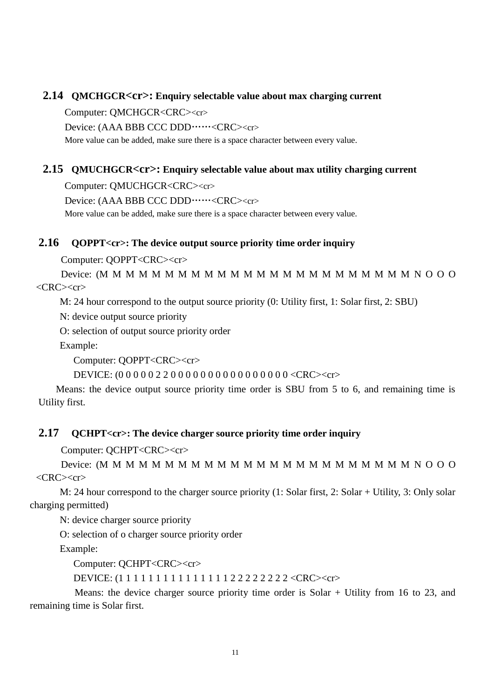#### <span id="page-12-0"></span>**2.14 QMCHGCR<cr>: Enquiry selectable value about max charging current**

Computer: QMCHGCR<CRC><cr>

Device: (AAA BBB CCC DDD……<CRC><cr>

More value can be added, make sure there is a space character between every value.

#### <span id="page-12-1"></span>**2.15 QMUCHGCR<cr>: Enquiry selectable value about max utility charging current**

Computer: QMUCHGCR<CRC><cr>

Device: (AAA BBB CCC DDD……<CRC><cr>

More value can be added, make sure there is a space character between every value.

### <span id="page-12-2"></span>**2.16 QOPPT<cr>: The device output source priority time order inquiry**

Computer: QOPPT<CRC><cr>

Device: (M M M M M M M M M M M M M M M M M M M M M M M M N O O O  $\langle \text{CRC} \rangle \langle \text{cr} \rangle$ 

M: 24 hour correspond to the output source priority (0: Utility first, 1: Solar first, 2: SBU)

N: device output source priority

O: selection of output source priority order

Example:

Computer: QOPPT<CRC><cr>

DEVICE: (0 0 0 0 0 2 2 0 0 0 0 0 0 0 0 0 0 0 0 0 0 0 0 <CRC><cr>

Means: the device output source priority time order is SBU from 5 to 6, and remaining time is Utility first.

#### <span id="page-12-3"></span>**2.17 QCHPT<cr>: The device charger source priority time order inquiry**

Computer: QCHPT<CRC><cr>

Device: (M M M M M M M M M M M M M M M M M M M M M M M M N O O O  $\langle$ CRC $>\langle$ cr $\rangle$ 

M: 24 hour correspond to the charger source priority (1: Solar first, 2: Solar + Utility, 3: Only solar charging permitted)

N: device charger source priority

O: selection of o charger source priority order

Example:

Computer: QCHPT<CRC><cr>

DEVICE: (1 1 1 1 1 1 1 1 1 1 1 1 1 1 1 2 2 2 2 2 2 2 2 <CRC><cr>

Means: the device charger source priority time order is Solar + Utility from 16 to 23, and remaining time is Solar first.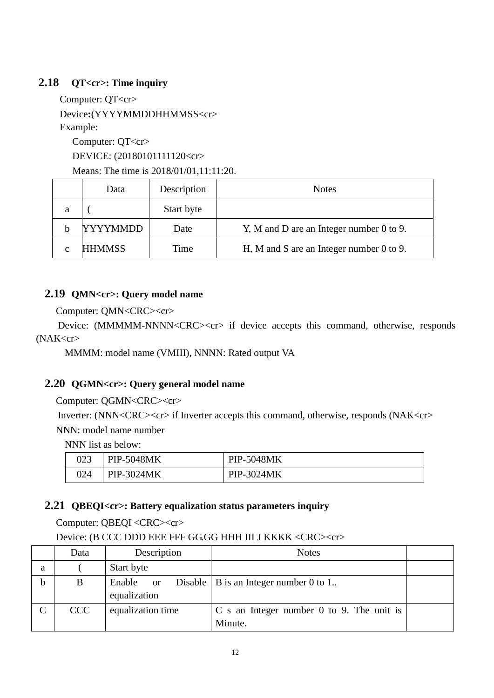# <span id="page-13-0"></span>**2.18 QT<cr>: Time inquiry**

Computer: QT<cr>

Device**:**(YYYYMMDDHHMMSS<cr>

Example:

Computer: QT<cr> DEVICE: (20180101111120<cr>

Means: The time is 2018/01/01,11:11:20.

|   | Data            | Description | <b>Notes</b>                               |
|---|-----------------|-------------|--------------------------------------------|
| a |                 | Start byte  |                                            |
|   | <b>YYYYMMDD</b> | Date        | Y, M and D are an Integer number 0 to 9.   |
|   | <b>HHMMSS</b>   | Time        | H, M and S are an Integer number $0$ to 9. |

# <span id="page-13-1"></span>**2.19 QMN<cr>: Query model name**

Computer: QMN<CRC><cr>

Device: (MMMMM-NNNN<CRC><cr> if device accepts this command, otherwise, responds (NAK<cr>

MMMM: model name (VMIII), NNNN: Rated output VA

# <span id="page-13-2"></span>**2.20 QGMN<cr>: Query general model name**

Computer: QGMN<CRC><cr>

Inverter: (NNN<CRC><cr> if Inverter accepts this command, otherwise, responds (NAK<cr> NNN: model name number

NNN list as below:

|     | <b>PIP-5048MK</b> | <b>PIP-5048MK</b> |
|-----|-------------------|-------------------|
| 024 | PIP-3024MK        | PIP-3024MK        |

# <span id="page-13-3"></span>**2.21 QBEQI<cr>: Battery equalization status parameters inquiry**

Computer: QBEQI <CRC><cr>

Device: (B CCC DDD EEE FFF GG.GG HHH III J KKKK <CRC><cr>

|   | Data       | Description               | <b>Notes</b>                                         |  |
|---|------------|---------------------------|------------------------------------------------------|--|
| a |            | Start byte                |                                                      |  |
|   | B          | Enable or<br>equalization | Disable $\vert$ B is an Integer number 0 to 1        |  |
|   | <b>CCC</b> | equalization time         | C s an Integer number 0 to 9. The unit is<br>Minute. |  |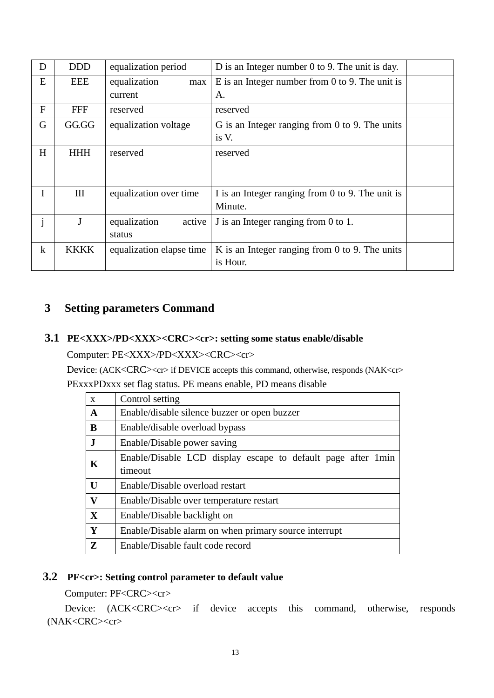| D            | <b>DDD</b>  | equalization period      | D is an Integer number 0 to 9. The unit is day.      |  |
|--------------|-------------|--------------------------|------------------------------------------------------|--|
| E            | EEE         | equalization<br>max      | E is an Integer number from $0$ to $9$ . The unit is |  |
|              |             | current                  | A.                                                   |  |
| $\mathbf{F}$ | <b>FFF</b>  | reserved                 | reserved                                             |  |
| G            | GG.GG       | equalization voltage     | G is an Integer ranging from $0$ to $9$ . The units  |  |
|              |             |                          | is V.                                                |  |
| H            | <b>HHH</b>  | reserved                 | reserved                                             |  |
|              |             |                          |                                                      |  |
|              |             |                          |                                                      |  |
|              | III         | equalization over time   | I is an Integer ranging from 0 to 9. The unit is     |  |
|              |             |                          | Minute.                                              |  |
| j            | J           | equalization<br>active   | J is an Integer ranging from 0 to 1.                 |  |
|              |             | status                   |                                                      |  |
| $\bf k$      | <b>KKKK</b> | equalization elapse time | K is an Integer ranging from 0 to 9. The units       |  |
|              |             |                          | is Hour.                                             |  |

# <span id="page-14-1"></span><span id="page-14-0"></span>**3 Setting parameters Command**

## **3.1 PE<XXX>/PD<XXX><CRC><cr>: setting some status enable/disable**

Computer: PE<XXX>/PD<XXX><CRC><cr>

Device: (ACK<CRC><cr> if DEVICE accepts this command, otherwise, responds (NAK<cr> PExxxPDxxx set flag status. PE means enable, PD means disable

| $\mathbf{x}$ | Control setting                                              |  |  |
|--------------|--------------------------------------------------------------|--|--|
| $\mathbf{A}$ | Enable/disable silence buzzer or open buzzer                 |  |  |
| B            | Enable/disable overload bypass                               |  |  |
| $\mathbf{J}$ | Enable/Disable power saving                                  |  |  |
| K            | Enable/Disable LCD display escape to default page after 1min |  |  |
|              | timeout                                                      |  |  |
| $\mathbf{U}$ | Enable/Disable overload restart                              |  |  |
| V            | Enable/Disable over temperature restart                      |  |  |
| $\mathbf{X}$ | Enable/Disable backlight on                                  |  |  |
| Y            | Enable/Disable alarm on when primary source interrupt        |  |  |
| Z            | Enable/Disable fault code record                             |  |  |

# <span id="page-14-2"></span>**3.2 PF<cr>: Setting control parameter to default value**

Computer: PF<CRC><cr>

Device: (ACK<CRC><cr> if device accepts this command, otherwise, responds (NAK<CRC><cr>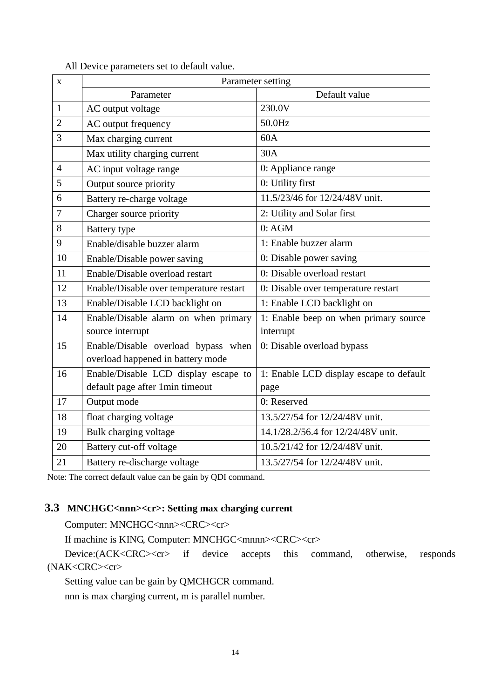All Device parameters set to default value.

| $\mathbf X$    | Parameter setting                       |                                         |  |
|----------------|-----------------------------------------|-----------------------------------------|--|
|                | Parameter                               | Default value                           |  |
| $\mathbf{1}$   | AC output voltage                       | 230.0V                                  |  |
| $\overline{2}$ | AC output frequency                     | 50.0Hz                                  |  |
| 3              | Max charging current                    | 60A                                     |  |
|                | Max utility charging current            | 30A                                     |  |
| $\overline{4}$ | AC input voltage range                  | 0: Appliance range                      |  |
| 5              | Output source priority                  | 0: Utility first                        |  |
| 6              | Battery re-charge voltage               | 11.5/23/46 for 12/24/48V unit.          |  |
| 7              | Charger source priority                 | 2: Utility and Solar first              |  |
| 8              | <b>Battery</b> type                     | 0:AGM                                   |  |
| 9              | Enable/disable buzzer alarm             | 1: Enable buzzer alarm                  |  |
| 10             | Enable/Disable power saving             | 0: Disable power saving                 |  |
| 11             | Enable/Disable overload restart         | 0: Disable overload restart             |  |
| 12             | Enable/Disable over temperature restart | 0: Disable over temperature restart     |  |
| 13             | Enable/Disable LCD backlight on         | 1: Enable LCD backlight on              |  |
| 14             | Enable/Disable alarm on when primary    | 1: Enable beep on when primary source   |  |
|                | source interrupt                        | interrupt                               |  |
| 15             | Enable/Disable overload bypass when     | 0: Disable overload bypass              |  |
|                | overload happened in battery mode       |                                         |  |
| 16             | Enable/Disable LCD display escape to    | 1: Enable LCD display escape to default |  |
|                | default page after 1min timeout         | page                                    |  |
| 17             | Output mode                             | 0: Reserved                             |  |
| 18             | float charging voltage                  | 13.5/27/54 for 12/24/48V unit.          |  |
| 19             | Bulk charging voltage                   | 14.1/28.2/56.4 for 12/24/48V unit.      |  |
| 20             | Battery cut-off voltage                 | 10.5/21/42 for 12/24/48V unit.          |  |
| 21             | Battery re-discharge voltage            | 13.5/27/54 for 12/24/48V unit.          |  |

<span id="page-15-0"></span>Note: The correct default value can be gain by QDI command.

# **3.3 MNCHGC<nnn><cr>: Setting max charging current**

Computer: MNCHGC<nnn><CRC><cr>

If machine is KING, Computer: MNCHGC<mnnn><CRC><cr>

Device:(ACK<CRC><cr>
if device accepts this command, otherwise, responds (NAK<CRC><cr>

Setting value can be gain by QMCHGCR command.

nnn is max charging current, m is parallel number.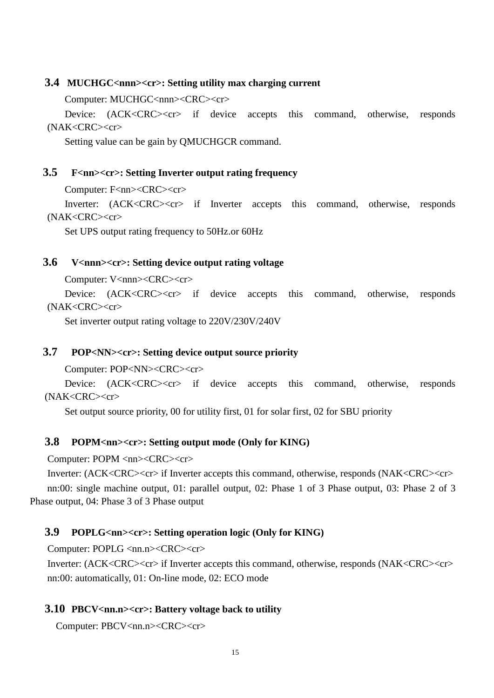#### <span id="page-16-0"></span>**3.4 MUCHGC<nnn><cr>: Setting utility max charging current**

Computer: MUCHGC<nnn><CRC><cr>

Device: (ACK<CRC><cr> if device accepts this command, otherwise, responds (NAK<CRC><cr>

Setting value can be gain by QMUCHGCR command.

## <span id="page-16-1"></span>**3.5 F<nn><cr>: Setting Inverter output rating frequency**

Computer: F<nn><CRC><cr>

Inverter: (ACK<CRC><cr> if Inverter accepts this command, otherwise, responds (NAK<CRC><cr>

Set UPS output rating frequency to 50Hz.or 60Hz

#### <span id="page-16-2"></span>**3.6 V<nnn><cr>: Setting device output rating voltage**

Computer: V<nnn><CRC><cr>

Device: (ACK<CRC><cr>if device accepts this command, otherwise, responds (NAK<CRC><cr>

Set inverter output rating voltage to 220V/230V/240V

#### <span id="page-16-3"></span>**3.7 POP<NN><cr>: Setting device output source priority**

Computer: POP<NN><CRC><cr>

Device: (ACK<CRC><cr> if device accepts this command, otherwise, responds (NAK<CRC><cr>

Set output source priority, 00 for utility first, 01 for solar first, 02 for SBU priority

#### <span id="page-16-4"></span>**3.8 POPM<nn><cr>: Setting output mode (Only for KING)**

Computer: POPM <nn><CRC><cr>

Inverter: (ACK<CRC><cr> if Inverter accepts this command, otherwise, responds (NAK<CRC><cr> nn:00: single machine output, 01: parallel output, 02: Phase 1 of 3 Phase output, 03: Phase 2 of 3 Phase output, 04: Phase 3 of 3 Phase output

### <span id="page-16-5"></span>**3.9 POPLG<nn><cr>: Setting operation logic (Only for KING)**

Computer: POPLG <nn.n><CRC><cr>

Inverter: (ACK<CRC><cr> if Inverter accepts this command, otherwise, responds (NAK<CRC><cr> nn:00: automatically, 01: On-line mode, 02: ECO mode

#### <span id="page-16-6"></span>**3.10 PBCV<nn.n><cr>: Battery voltage back to utility**

Computer: PBCV<nn.n><CRC><cr>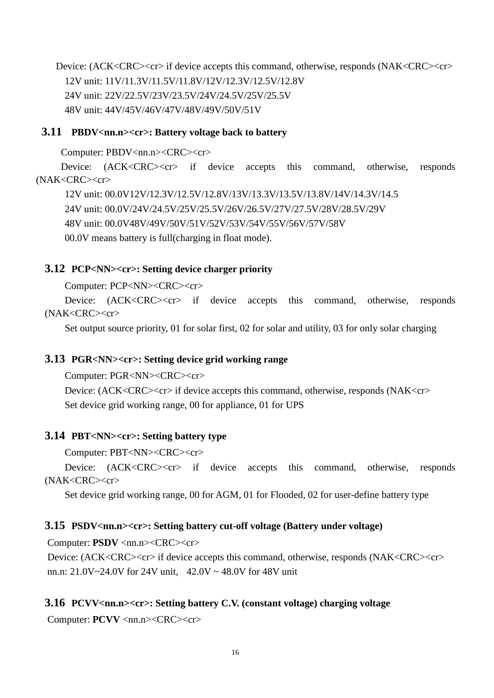Device: (ACK<CRC><cr> if device accepts this command, otherwise, responds (NAK<CRC><cr> 12V unit: 11V/11.3V/11.5V/11.8V/12V/12.3V/12.5V/12.8V 24V unit: 22V/22.5V/23V/23.5V/24V/24.5V/25V/25.5V 48V unit: 44V/45V/46V/47V/48V/49V/50V/51V

## <span id="page-17-0"></span>**3.11 PBDV<nn.n><cr>: Battery voltage back to battery**

Computer: PBDV<nn.n><CRC><cr>

Device: (ACK<CRC><cr>if device accepts this command, otherwise, responds (NAK<CRC><cr>

12V unit: 00.0V12V/12.3V/12.5V/12.8V/13V/13.3V/13.5V/13.8V/14V/14.3V/14.5 24V unit: 00.0V/24V/24.5V/25V/25.5V/26V/26.5V/27V/27.5V/28V/28.5V/29V 48V unit: 00.0V48V/49V/50V/51V/52V/53V/54V/55V/56V/57V/58V 00.0V means battery is full(charging in float mode).

# <span id="page-17-1"></span>**3.12 PCP<NN><cr>: Setting device charger priority**

Computer: PCP<NN><CRC><cr>

Device: (ACK<CRC><cr> if device accepts this command, otherwise, responds (NAK<CRC><cr>

Set output source priority, 01 for solar first, 02 for solar and utility, 03 for only solar charging

### <span id="page-17-2"></span>**3.13 PGR<NN><cr>: Setting device grid working range**

Computer: PGR<NN><CRC><cr>

Device: (ACK<CRC><cr> if device accepts this command, otherwise, responds (NAK<cr> Set device grid working range, 00 for appliance, 01 for UPS

### <span id="page-17-3"></span>**3.14 PBT<NN><cr>: Setting battery type**

Computer: PBT<NN><CRC><cr>

Device: (ACK<CRC><cr> if device accepts this command, otherwise, responds (NAK<CRC><cr>

Set device grid working range, 00 for AGM, 01 for Flooded, 02 for user-define battery type

### <span id="page-17-4"></span>**3.15 PSDV<nn.n><cr>: Setting battery cut-off voltage (Battery under voltage)**

Computer: **PSDV** <nn.n><CRC><cr>

Device: (ACK<CRC><cr> if device accepts this command, otherwise, responds (NAK<CRC><cr> nn.n:  $21.0V \approx 24.0V$  for  $24V$  unit,  $42.0V \approx 48.0V$  for  $48V$  unit

### <span id="page-17-5"></span>**3.16 PCVV<nn.n><cr>: Setting battery C.V. (constant voltage) charging voltage**

Computer: **PCVV** <nn.n><CRC><cr>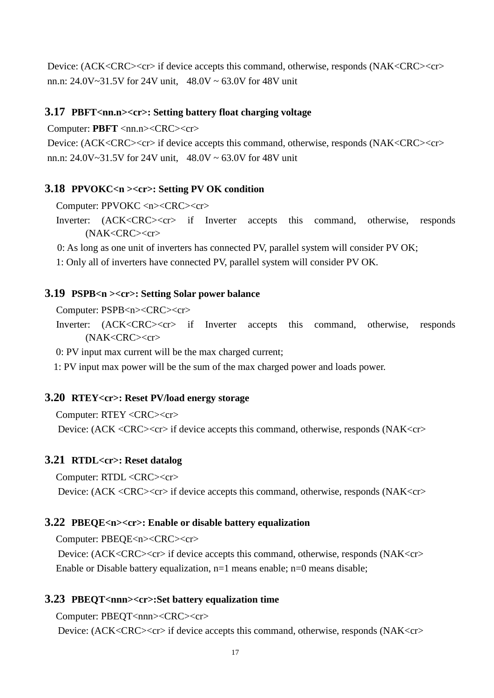Device: (ACK<CRC><cr> if device accepts this command, otherwise, responds (NAK<CRC><cr> nn.n: 24.0V~31.5V for 24V unit, 48.0V ~ 63.0V for 48V unit

#### <span id="page-18-0"></span>**3.17 PBFT**<nn.n><cr>: Setting battery float charging voltage

Computer: **PBFT** <nn.n><CRC><cr>

Device: (ACK<CRC><cr> if device accepts this command, otherwise, responds (NAK<CRC><cr> nn.n: 24.0V~31.5V for 24V unit, 48.0V ~ 63.0V for 48V unit

#### <span id="page-18-1"></span>**3.18 PPVOKC<n ><cr>: Setting PV OK condition**

Computer: PPVOKC <n><CRC><cr>

Inverter: (ACK<CRC><cr> if Inverter accepts this command, otherwise, responds (NAK<CRC><cr>

0: As long as one unit of inverters has connected PV, parallel system will consider PV OK;

1: Only all of inverters have connected PV, parallel system will consider PV OK.

#### <span id="page-18-2"></span>**3.19 PSPB<n ><cr>: Setting Solar power balance**

Computer: PSPB<n><CRC><cr>

Inverter: (ACK<CRC><cr> if Inverter accepts this command, otherwise, responds (NAK<CRC><cr>

0: PV input max current will be the max charged current;

1: PV input max power will be the sum of the max charged power and loads power.

#### <span id="page-18-3"></span>**3.20 RTEY<cr>: Reset PV/load energy storage**

Computer: RTEY <CRC><cr>

Device: (ACK <CRC><cr> if device accepts this command, otherwise, responds (NAK<cr>

#### <span id="page-18-4"></span>**3.21 RTDL<cr>: Reset datalog**

Computer: RTDL <CRC><cr>

Device: (ACK <CRC><cr> if device accepts this command, otherwise, responds (NAK<cr>

#### <span id="page-18-5"></span>**3.22 PBEQE<n><cr>: Enable or disable battery equalization**

Computer: PBEQE<n><CRC><cr>

Device: (ACK<CRC><cr>if device accepts this command, otherwise, responds (NAK<cr> Enable or Disable battery equalization, n=1 means enable; n=0 means disable;

#### <span id="page-18-6"></span>**3.23 PBEQT<nnn><cr>:Set battery equalization time**

Computer: PBEOT<nnn><CRC><cr>

Device: (ACK<CRC><cr> if device accepts this command, otherwise, responds (NAK<cr>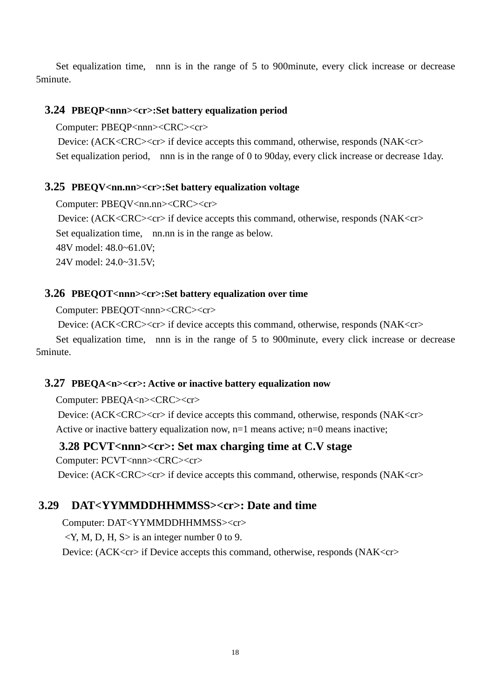Set equalization time, nnn is in the range of 5 to 900minute, every click increase or decrease 5minute.

#### <span id="page-19-0"></span>**3.24 PBEQP<nnn><cr>:Set battery equalization period**

Computer: PBEQP<nnn><CRC><cr>

Device: (ACK<CRC><cr>if device accepts this command, otherwise, responds (NAK<cr> Set equalization period, nnn is in the range of 0 to 90day, every click increase or decrease 1day.

#### <span id="page-19-1"></span>**3.25 PBEQV<nn.nn><cr>:Set battery equalization voltage**

Computer: PBEQV<nn.nn><CRC><cr>

Device: (ACK<CRC><cr> if device accepts this command, otherwise, responds (NAK<cr> Set equalization time, nn.nn is in the range as below. 48V model: 48.0~61.0V; 24V model: 24.0~31.5V;

#### <span id="page-19-2"></span>**3.26 PBEQOT<nnn><cr>:Set battery equalization over time**

Computer: PBEQOT<nnn><CRC><cr>

Device: (ACK<CRC><cr> if device accepts this command, otherwise, responds (NAK<cr>

Set equalization time, nnn is in the range of 5 to 900minute, every click increase or decrease 5minute.

#### <span id="page-19-3"></span>**3.27 PBEQA<n><cr>: Active or inactive battery equalization now**

Computer: PBEOA<n><CRC><cr>

Device: (ACK<CRC><cr>if device accepts this command, otherwise, responds (NAK<cr> Active or inactive battery equalization now,  $n=1$  means active;  $n=0$  means inactive;

#### <span id="page-19-4"></span>**3.28 PCVT<nnn><cr>: Set max charging time at C.V stage**

Computer: PCVT<nnn><CRC><cr>

Device: (ACK<CRC><cr> if device accepts this command, otherwise, responds (NAK<cr>

## <span id="page-19-5"></span>**3.29 DAT<YYMMDDHHMMSS><cr>: Date and time**

Computer: DAT<YYMMDDHHMMSS><cr>

 $\langle Y, M, D, H, S \rangle$  is an integer number 0 to 9.

Device: (ACK<cr>if Device accepts this command, otherwise, responds (NAK<cr>